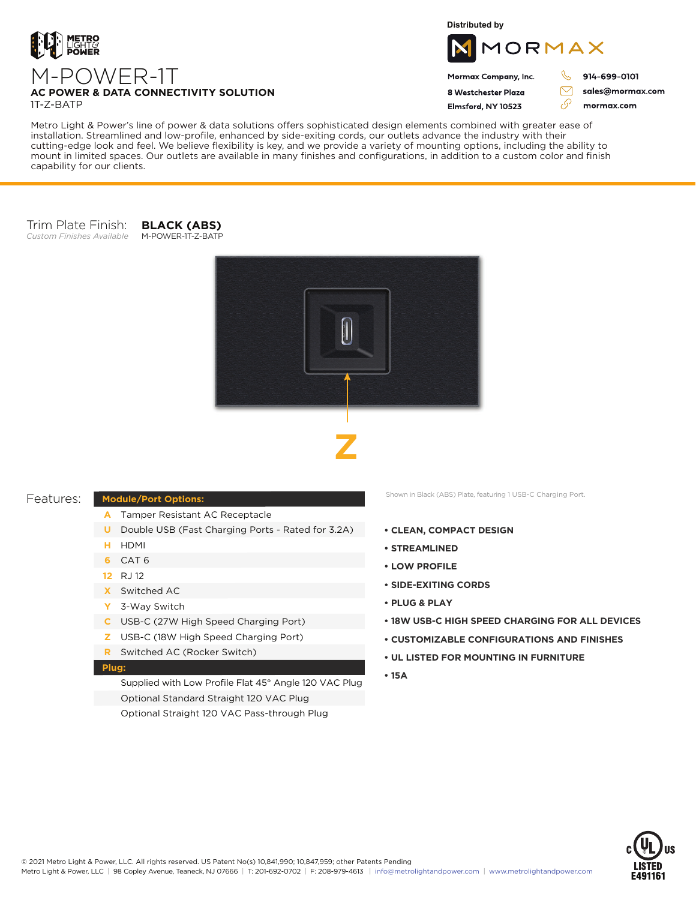

M-POWER-1T

**Distributed by**



### Mormax Company, Inc. 8 Westchester Plaza

Flmsford, NY 10523

 $\mathcal{C}$ 914-699-0101

> sales@mormax.com mormax.com

 $\triangledown$ 

76

**AC POWER & DATA CONNECTIVITY SOLUTION**

1T-Z-BATP

Metro Light & Power's line of power & data solutions offers sophisticated design elements combined with greater ease of installation. Streamlined and low-profile, enhanced by side-exiting cords, our outlets advance the industry with their cutting-edge look and feel. We believe flexibility is key, and we provide a variety of mounting options, including the ability to mount in limited spaces. Our outlets are available in many finishes and configurations, in addition to a custom color and finish capability for our clients.

#### Trim Plate Finish: *Custom Finishes Available* M-POWER-1T-Z-BATP

**BLACK (ABS)**





# Features:

# **Module/Port Options:**

- Tamper Resistant AC Receptacle **A**
- **U** Double USB (Fast Charging Ports Rated for 3.2A)
- HDMI **H**
- CAT 6 **6**
- RJ 12 **12**
- Switched AC **X**
- 3-Way Switch **Y**
- USB-C (27W High Speed Charging Port) **C**
- USB-C (18W High Speed Charging Port) **Z**
- Switched AC (Rocker Switch) **R**

#### **Plug:**

Supplied with Low Profile Flat 45° Angle 120 VAC Plug Optional Standard Straight 120 VAC Plug Optional Straight 120 VAC Pass-through Plug

Shown in Black (ABS) Plate, featuring 1 USB-C Charging Port.

- **CLEAN, COMPACT DESIGN**
- **STREAMLINED**
- **LOW PROFILE**
- **SIDE-EXITING CORDS**
- **PLUG & PLAY**
- **18W USB-C HIGH SPEED CHARGING FOR ALL DEVICES**
- **CUSTOMIZABLE CONFIGURATIONS AND FINISHES**
- **UL LISTED FOR MOUNTING IN FURNITURE**
- **15A**